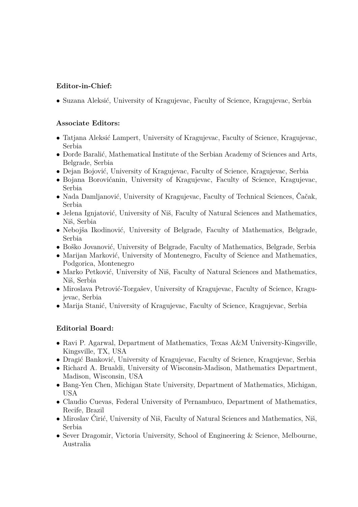## **Editor-in-Chief:**

• Suzana Aleksić, University of Kragujevac, Faculty of Science, Kragujevac, Serbia

## **Associate Editors:**

- Tatjana Aleksić Lampert, University of Kragujevac, Faculty of Science, Kragujevac, Serbia
- Ðorđe Baralić, Mathematical Institute of the Serbian Academy of Sciences and Arts, Belgrade, Serbia
- Dejan Bojović, University of Kragujevac, Faculty of Science, Kragujevac, Serbia
- Bojana Borovićanin, University of Kragujevac, Faculty of Science, Kragujevac, Serbia
- Nada Damljanović, University of Kragujevac, Faculty of Technical Sciences, Čačak, Serbia
- Jelena Ignjatović, University of Niš, Faculty of Natural Sciences and Mathematics, Niš, Serbia
- Nebojša Ikodinović, University of Belgrade, Faculty of Mathematics, Belgrade, Serbia
- Boško Jovanović, University of Belgrade, Faculty of Mathematics, Belgrade, Serbia
- Marijan Marković, University of Montenegro, Faculty of Science and Mathematics, Podgorica, Montenegro
- Marko Petković, University of Niš, Faculty of Natural Sciences and Mathematics, Niš, Serbia
- Miroslava Petrović-Torgašev, University of Kragujevac, Faculty of Science, Kragujevac, Serbia
- Marija Stanić, University of Kragujevac, Faculty of Science, Kragujevac, Serbia

## **Editorial Board:**

- Ravi P. Agarwal, Department of Mathematics, Texas A&M University-Kingsville, Kingsville, TX, USA
- Dragić Banković, University of Kragujevac, Faculty of Science, Kragujevac, Serbia
- Richard A. Brualdi, University of Wisconsin-Madison, Mathematics Department, Madison, Wisconsin, USA
- Bang-Yen Chen, Michigan State University, Department of Mathematics, Michigan, USA
- Claudio Cuevas, Federal University of Pernambuco, Department of Mathematics, Recife, Brazil
- Miroslav Ćirić, University of Niš, Faculty of Natural Sciences and Mathematics, Niš, Serbia
- Sever Dragomir, Victoria University, School of Engineering & Science, Melbourne, Australia